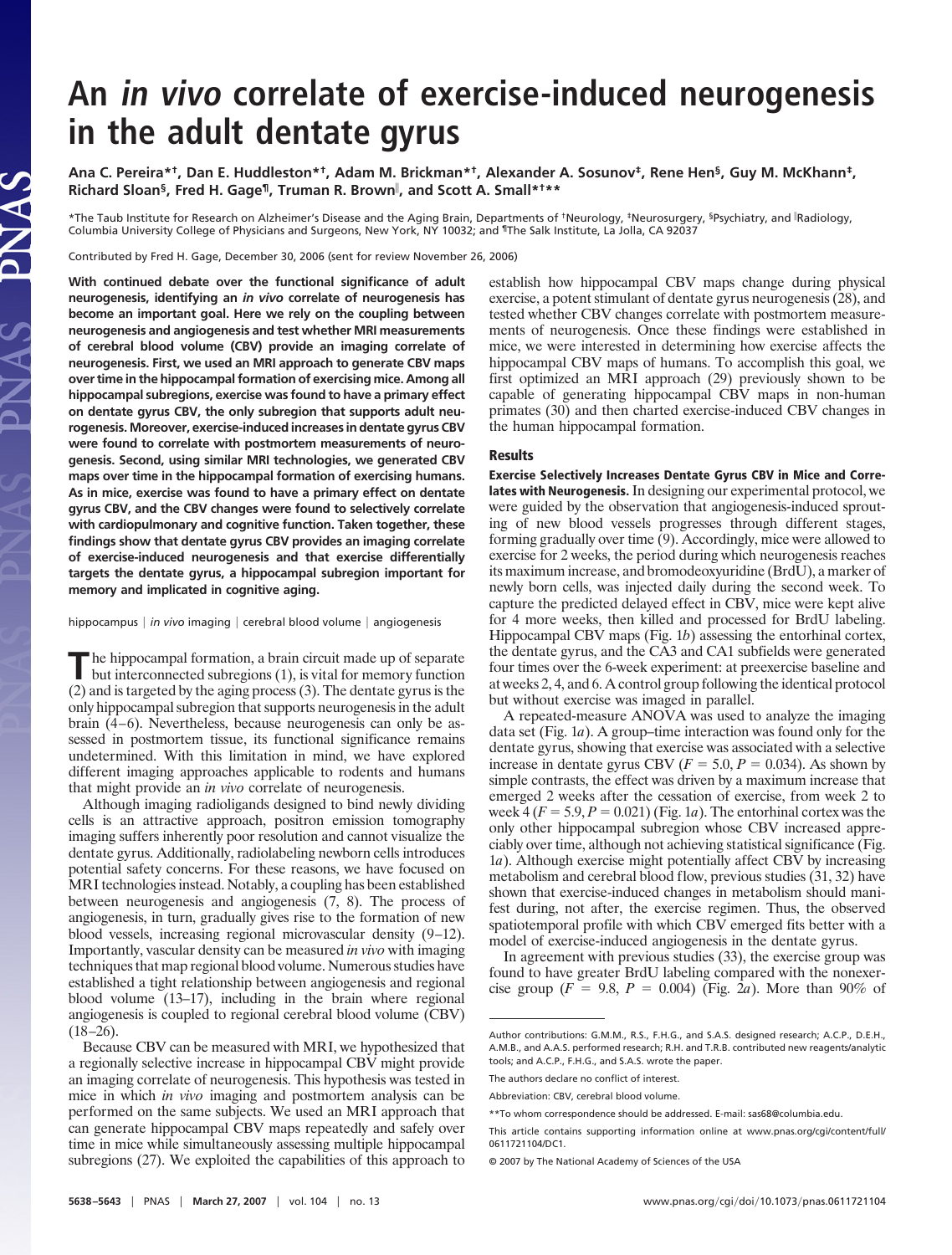## **An in vivo correlate of exercise-induced neurogenesis in the adult dentate gyrus**

**Ana C. Pereira\*†, Dan E. Huddleston\*†, Adam M. Brickman\*†, Alexander A. Sosunov‡, Rene Hen§, Guy M. McKhann‡, Richard Sloan§, Fred H. Gage¶, Truman R. Brown , and Scott A. Small\*†\*\***

\*The Taub Institute for Research on Alzheimer's Disease and the Aging Brain, Departments of †Neurology, ‡Neurosurgery, §Psychiatry, and 『Radiology,<br>Columbia University College of Physicians and Surgeons, New York, NY 10032

Contributed by Fred H. Gage, December 30, 2006 (sent for review November 26, 2006)

**With continued debate over the functional significance of adult neurogenesis, identifying an** *in vivo* **correlate of neurogenesis has become an important goal. Here we rely on the coupling between neurogenesis and angiogenesis and test whether MRI measurements of cerebral blood volume (CBV) provide an imaging correlate of neurogenesis. First, we used an MRI approach to generate CBV maps over time in the hippocampal formation of exercising mice. Among all hippocampal subregions, exercise was found to have a primary effect on dentate gyrus CBV, the only subregion that supports adult neurogenesis. Moreover, exercise-induced increases in dentate gyrus CBV were found to correlate with postmortem measurements of neurogenesis. Second, using similar MRI technologies, we generated CBV maps over time in the hippocampal formation of exercising humans. As in mice, exercise was found to have a primary effect on dentate gyrus CBV, and the CBV changes were found to selectively correlate with cardiopulmonary and cognitive function. Taken together, these findings show that dentate gyrus CBV provides an imaging correlate of exercise-induced neurogenesis and that exercise differentially targets the dentate gyrus, a hippocampal subregion important for memory and implicated in cognitive aging.**

hippocampus | in vivo imaging | cerebral blood volume | angiogenesis

The hippocampal formation, a brain circuit made up of separate but interconnected subregions (1), is vital for memory function (2) and is targeted by the aging process (3). The dentate gyrus is the only hippocampal subregion that supports neurogenesis in the adult brain (4–6). Nevertheless, because neurogenesis can only be assessed in postmortem tissue, its functional significance remains undetermined. With this limitation in mind, we have explored different imaging approaches applicable to rodents and humans that might provide an *in vivo* correlate of neurogenesis.

Although imaging radioligands designed to bind newly dividing cells is an attractive approach, positron emission tomography imaging suffers inherently poor resolution and cannot visualize the dentate gyrus. Additionally, radiolabeling newborn cells introduces potential safety concerns. For these reasons, we have focused on MRI technologies instead. Notably, a coupling has been established between neurogenesis and angiogenesis (7, 8). The process of angiogenesis, in turn, gradually gives rise to the formation of new blood vessels, increasing regional microvascular density (9–12). Importantly, vascular density can be measured *in vivo* with imaging techniques that map regional blood volume. Numerous studies have established a tight relationship between angiogenesis and regional blood volume (13–17), including in the brain where regional angiogenesis is coupled to regional cerebral blood volume (CBV)  $(18–26)$ .

Because CBV can be measured with MRI, we hypothesized that a regionally selective increase in hippocampal CBV might provide an imaging correlate of neurogenesis. This hypothesis was tested in mice in which *in vivo* imaging and postmortem analysis can be performed on the same subjects. We used an MRI approach that can generate hippocampal CBV maps repeatedly and safely over time in mice while simultaneously assessing multiple hippocampal subregions (27). We exploited the capabilities of this approach to

establish how hippocampal CBV maps change during physical exercise, a potent stimulant of dentate gyrus neurogenesis (28), and tested whether CBV changes correlate with postmortem measurements of neurogenesis. Once these findings were established in mice, we were interested in determining how exercise affects the hippocampal CBV maps of humans. To accomplish this goal, we first optimized an MRI approach (29) previously shown to be capable of generating hippocampal CBV maps in non-human primates (30) and then charted exercise-induced CBV changes in the human hippocampal formation.

## **Results**

**Exercise Selectively Increases Dentate Gyrus CBV in Mice and Correlates with Neurogenesis.** In designing our experimental protocol, we were guided by the observation that angiogenesis-induced sprouting of new blood vessels progresses through different stages, forming gradually over time (9). Accordingly, mice were allowed to exercise for 2 weeks, the period during which neurogenesis reaches its maximum increase, and bromodeoxyuridine (BrdU), a marker of newly born cells, was injected daily during the second week. To capture the predicted delayed effect in CBV, mice were kept alive for 4 more weeks, then killed and processed for BrdU labeling. Hippocampal CBV maps (Fig. 1*b*) assessing the entorhinal cortex, the dentate gyrus, and the CA3 and CA1 subfields were generated four times over the 6-week experiment: at preexercise baseline and at weeks 2, 4, and 6. A control group following the identical protocol but without exercise was imaged in parallel.

A repeated-measure ANOVA was used to analyze the imaging data set (Fig. 1*a*). A group–time interaction was found only for the dentate gyrus, showing that exercise was associated with a selective increase in dentate gyrus CBV ( $F = 5.0, P = 0.034$ ). As shown by simple contrasts, the effect was driven by a maximum increase that emerged 2 weeks after the cessation of exercise, from week 2 to week  $4(F = 5.9, P = 0.021)$  (Fig. 1*a*). The entorhinal cortex was the only other hippocampal subregion whose CBV increased appreciably over time, although not achieving statistical significance (Fig. 1*a*). Although exercise might potentially affect CBV by increasing metabolism and cerebral blood flow, previous studies (31, 32) have shown that exercise-induced changes in metabolism should manifest during, not after, the exercise regimen. Thus, the observed spatiotemporal profile with which CBV emerged fits better with a model of exercise-induced angiogenesis in the dentate gyrus.

In agreement with previous studies (33), the exercise group was found to have greater BrdU labeling compared with the nonexercise group ( $F = 9.8$ ,  $P = 0.004$ ) (Fig. 2*a*). More than 90% of

Author contributions: G.M.M., R.S., F.H.G., and S.A.S. designed research; A.C.P., D.E.H., A.M.B., and A.A.S. performed research; R.H. and T.R.B. contributed new reagents/analytic tools; and A.C.P., F.H.G., and S.A.S. wrote the paper.

The authors declare no conflict of interest.

Abbreviation: CBV, cerebral blood volume.

<sup>\*\*</sup>To whom correspondence should be addressed. E-mail: sas68@columbia.edu.

This article contains supporting information online at www.pnas.org/cgi/content/full/ 0611721104/DC1.

<sup>© 2007</sup> by The National Academy of Sciences of the USA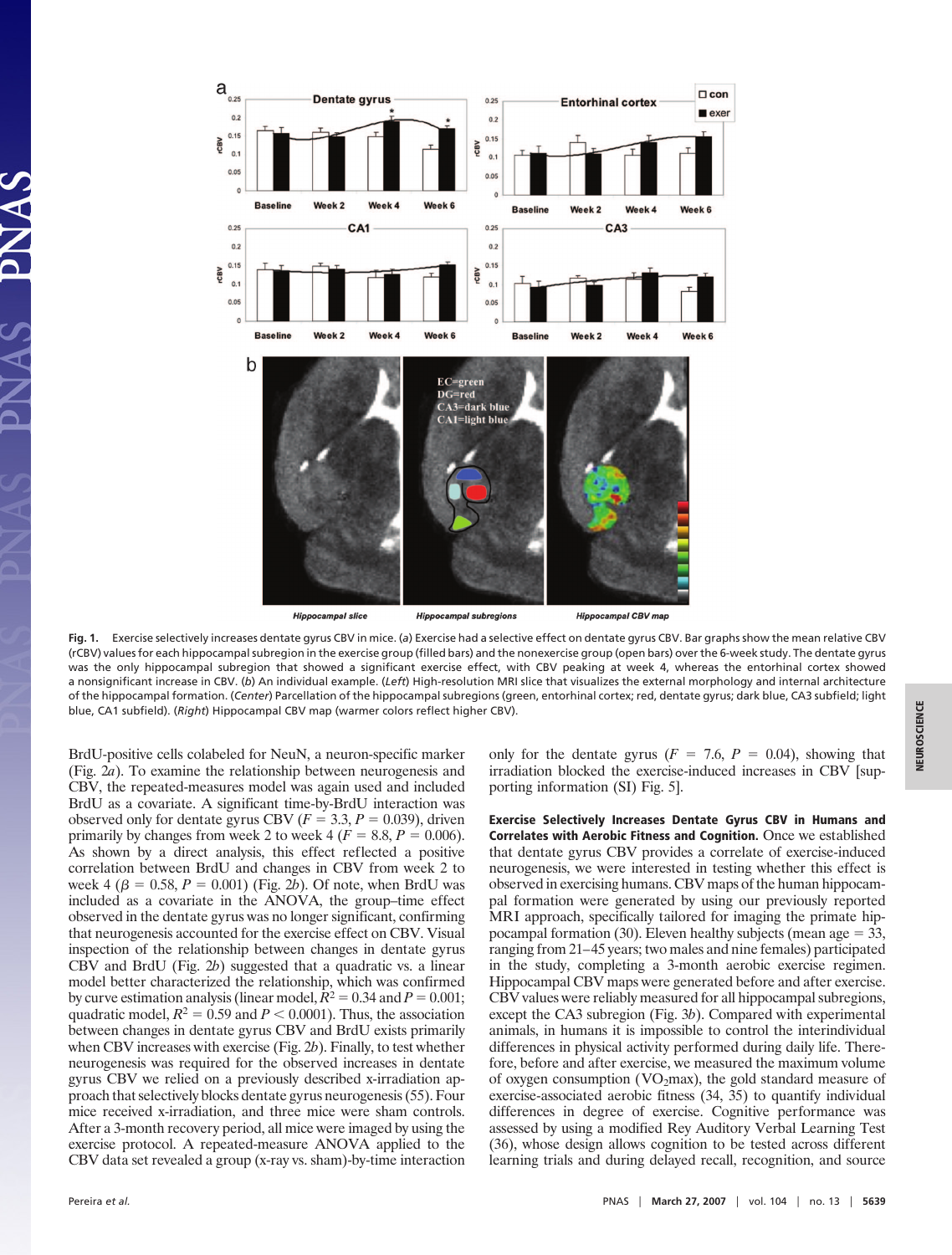

**Fig. 1.** Exercise selectively increases dentate gyrus CBV in mice. (*a*) Exercise had a selective effect on dentate gyrus CBV. Bar graphs show the mean relative CBV (rCBV) values for each hippocampal subregion in the exercise group (filled bars) and the nonexercise group (open bars) over the 6-week study. The dentate gyrus was the only hippocampal subregion that showed a significant exercise effect, with CBV peaking at week 4, whereas the entorhinal cortex showed a nonsignificant increase in CBV. (*b*) An individual example. (*Left*) High-resolution MRI slice that visualizes the external morphology and internal architecture of the hippocampal formation. (*Center*) Parcellation of the hippocampal subregions (green, entorhinal cortex; red, dentate gyrus; dark blue, CA3 subfield; light blue, CA1 subfield). (*Right*) Hippocampal CBV map (warmer colors reflect higher CBV).

BrdU-positive cells colabeled for NeuN, a neuron-specific marker (Fig. 2*a*). To examine the relationship between neurogenesis and CBV, the repeated-measures model was again used and included BrdU as a covariate. A significant time-by-BrdU interaction was observed only for dentate gyrus CBV ( $F = 3.3$ ,  $P = 0.039$ ), driven primarily by changes from week 2 to week 4 ( $F = 8.8, P = 0.006$ ). As shown by a direct analysis, this effect reflected a positive correlation between BrdU and changes in CBV from week 2 to week 4 ( $\beta = 0.58, P = 0.001$ ) (Fig. 2*b*). Of note, when BrdU was included as a covariate in the ANOVA, the group–time effect observed in the dentate gyrus was no longer significant, confirming that neurogenesis accounted for the exercise effect on CBV. Visual inspection of the relationship between changes in dentate gyrus CBV and BrdU (Fig. 2*b*) suggested that a quadratic vs. a linear model better characterized the relationship, which was confirmed by curve estimation analysis (linear model,  $\hat{R}^2 = 0.34$  and  $P = 0.001$ ; quadratic model,  $R^2 = 0.59$  and  $P < 0.0001$ ). Thus, the association between changes in dentate gyrus CBV and BrdU exists primarily when CBV increases with exercise (Fig. 2*b*). Finally, to test whether neurogenesis was required for the observed increases in dentate gyrus CBV we relied on a previously described x-irradiation approach that selectively blocks dentate gyrus neurogenesis (55). Four mice received x-irradiation, and three mice were sham controls. After a 3-month recovery period, all mice were imaged by using the exercise protocol. A repeated-measure ANOVA applied to the CBV data set revealed a group (x-ray vs. sham)-by-time interaction only for the dentate gyrus  $(F = 7.6, P = 0.04)$ , showing that irradiation blocked the exercise-induced increases in CBV [supporting information (SI) Fig. 5].

**Exercise Selectively Increases Dentate Gyrus CBV in Humans and Correlates with Aerobic Fitness and Cognition.** Once we established that dentate gyrus CBV provides a correlate of exercise-induced neurogenesis, we were interested in testing whether this effect is observed in exercising humans. CBV maps of the human hippocampal formation were generated by using our previously reported MRI approach, specifically tailored for imaging the primate hippocampal formation (30). Eleven healthy subjects (mean age  $=$  33, ranging from 21–45 years; two males and nine females) participated in the study, completing a 3-month aerobic exercise regimen. Hippocampal CBV maps were generated before and after exercise. CBV values were reliably measured for all hippocampal subregions, except the CA3 subregion (Fig. 3*b*). Compared with experimental animals, in humans it is impossible to control the interindividual differences in physical activity performed during daily life. Therefore, before and after exercise, we measured the maximum volume of oxygen consumption (VO2max), the gold standard measure of exercise-associated aerobic fitness (34, 35) to quantify individual differences in degree of exercise. Cognitive performance was assessed by using a modified Rey Auditory Verbal Learning Test (36), whose design allows cognition to be tested across different learning trials and during delayed recall, recognition, and source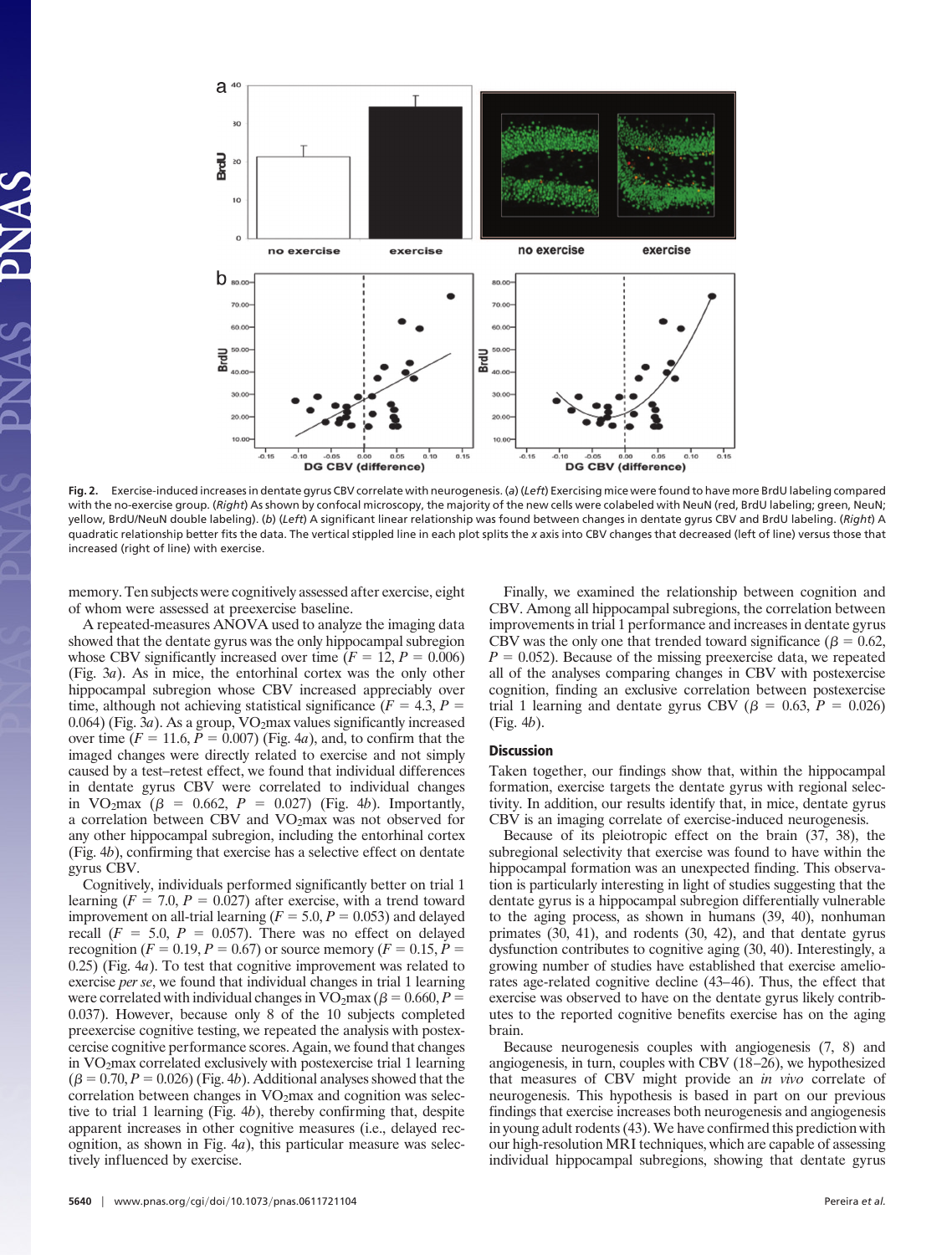

**Fig. 2.** Exercise-induced increases in dentate gyrus CBV correlate with neurogenesis. (*a*) (*Left*) Exercising mice were found to have more BrdU labeling compared with the no-exercise group. (*Right*) As shown by confocal microscopy, the majority of the new cells were colabeled with NeuN (red, BrdU labeling; green, NeuN; yellow, BrdU/NeuN double labeling). (*b*) (*Left*) A significant linear relationship was found between changes in dentate gyrus CBV and BrdU labeling. (*Right*) A quadratic relationship better fits the data. The vertical stippled line in each plot splits the *x* axis into CBV changes that decreased (left of line) versus those that increased (right of line) with exercise.

memory. Ten subjects were cognitively assessed after exercise, eight of whom were assessed at preexercise baseline.

A repeated-measures ANOVA used to analyze the imaging data showed that the dentate gyrus was the only hippocampal subregion whose CBV significantly increased over time  $(F = 12, P = 0.006)$ (Fig. 3*a*). As in mice, the entorhinal cortex was the only other hippocampal subregion whose CBV increased appreciably over time, although not achieving statistical significance ( $F = 4.3$ ,  $P =$ 0.064) (Fig. 3*a*). As a group, VO<sub>2</sub>max values significantly increased over time  $(F = 11.6, \bar{P} = 0.007)$  (Fig. 4*a*), and, to confirm that the imaged changes were directly related to exercise and not simply caused by a test–retest effect, we found that individual differences in dentate gyrus CBV were correlated to individual changes in VO<sub>2</sub>max  $(\beta = 0.662, P = 0.027)$  (Fig. 4*b*). Importantly, a correlation between CBV and VO2max was not observed for any other hippocampal subregion, including the entorhinal cortex (Fig. 4*b*), confirming that exercise has a selective effect on dentate gyrus CBV.

Cognitively, individuals performed significantly better on trial 1 learning  $(F = 7.0, P = 0.027)$  after exercise, with a trend toward improvement on all-trial learning ( $F = 5.0, P = 0.053$ ) and delayed recall  $(F = 5.0, P = 0.057)$ . There was no effect on delayed recognition ( $F = 0.19, P = 0.67$ ) or source memory ( $F = 0.15, P =$ 0.25) (Fig. 4*a*). To test that cognitive improvement was related to exercise *per se*, we found that individual changes in trial 1 learning were correlated with individual changes in  $VO<sub>2</sub>max (  $\beta = 0.660, P =$$ 0.037). However, because only 8 of the 10 subjects completed preexercise cognitive testing, we repeated the analysis with postexcercise cognitive performance scores. Again, we found that changes in VO2max correlated exclusively with postexercise trial 1 learning  $(\beta = 0.70, P = 0.026)$  (Fig. 4*b*). Additional analyses showed that the correlation between changes in  $VO<sub>2</sub>$ max and cognition was selective to trial 1 learning (Fig. 4*b*), thereby confirming that, despite apparent increases in other cognitive measures (i.e., delayed recognition, as shown in Fig. 4*a*), this particular measure was selectively influenced by exercise.

**5640**  $\int$  www.pnas.org/cgi/doi/10.1073/pnas.0611721104 **Pereira** *et al.* 

Finally, we examined the relationship between cognition and CBV. Among all hippocampal subregions, the correlation between improvements in trial 1 performance and increases in dentate gyrus CBV was the only one that trended toward significance ( $\beta = 0.62$ ,  $P = 0.052$ ). Because of the missing preexercise data, we repeated all of the analyses comparing changes in CBV with postexercise cognition, finding an exclusive correlation between postexercise trial 1 learning and dentate gyrus CBV ( $\beta$  = 0.63, *P* = 0.026) (Fig. 4*b*).

## **Discussion**

Taken together, our findings show that, within the hippocampal formation, exercise targets the dentate gyrus with regional selectivity. In addition, our results identify that, in mice, dentate gyrus CBV is an imaging correlate of exercise-induced neurogenesis.

Because of its pleiotropic effect on the brain (37, 38), the subregional selectivity that exercise was found to have within the hippocampal formation was an unexpected finding. This observation is particularly interesting in light of studies suggesting that the dentate gyrus is a hippocampal subregion differentially vulnerable to the aging process, as shown in humans (39, 40), nonhuman primates (30, 41), and rodents (30, 42), and that dentate gyrus dysfunction contributes to cognitive aging (30, 40). Interestingly, a growing number of studies have established that exercise ameliorates age-related cognitive decline (43–46). Thus, the effect that exercise was observed to have on the dentate gyrus likely contributes to the reported cognitive benefits exercise has on the aging brain.

Because neurogenesis couples with angiogenesis (7, 8) and angiogenesis, in turn, couples with CBV (18–26), we hypothesized that measures of CBV might provide an *in vivo* correlate of neurogenesis. This hypothesis is based in part on our previous findings that exercise increases both neurogenesis and angiogenesis in young adult rodents (43). We have confirmed this prediction with our high-resolution MRI techniques, which are capable of assessing individual hippocampal subregions, showing that dentate gyrus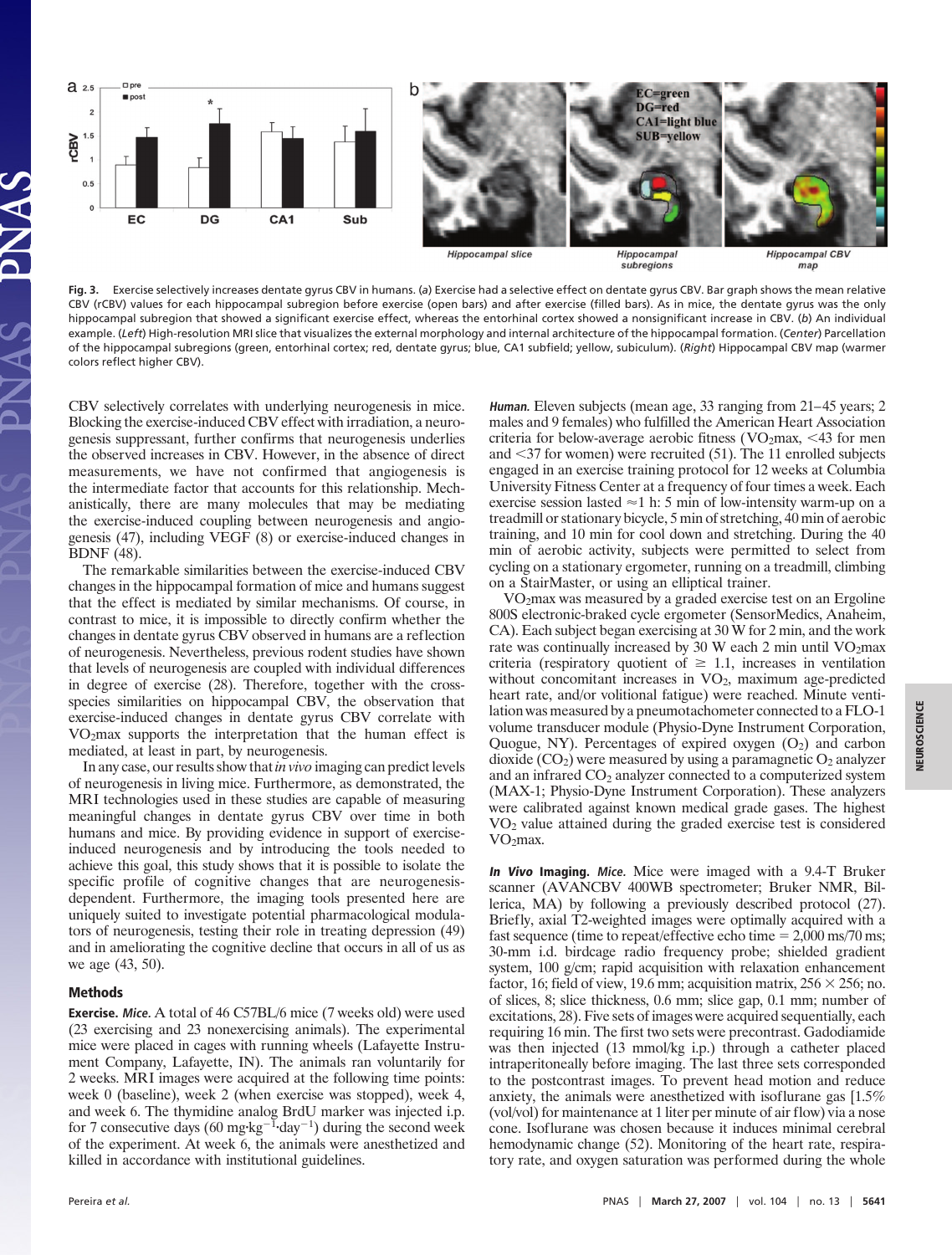

**Fig. 3.** Exercise selectively increases dentate gyrus CBV in humans. (*a*) Exercise had a selective effect on dentate gyrus CBV. Bar graph shows the mean relative CBV (rCBV) values for each hippocampal subregion before exercise (open bars) and after exercise (filled bars). As in mice, the dentate gyrus was the only hippocampal subregion that showed a significant exercise effect, whereas the entorhinal cortex showed a nonsignificant increase in CBV. (*b*) An individual example. (*Left*) High-resolution MRI slice that visualizes the external morphology and internal architecture of the hippocampal formation. (*Center*) Parcellation of the hippocampal subregions (green, entorhinal cortex; red, dentate gyrus; blue, CA1 subfield; yellow, subiculum). (*Right*) Hippocampal CBV map (warmer colors reflect higher CBV).

CBV selectively correlates with underlying neurogenesis in mice. Blocking the exercise-induced CBV effect with irradiation, a neurogenesis suppressant, further confirms that neurogenesis underlies the observed increases in CBV. However, in the absence of direct measurements, we have not confirmed that angiogenesis is the intermediate factor that accounts for this relationship. Mechanistically, there are many molecules that may be mediating the exercise-induced coupling between neurogenesis and angiogenesis (47), including VEGF (8) or exercise-induced changes in BDNF (48).

The remarkable similarities between the exercise-induced CBV changes in the hippocampal formation of mice and humans suggest that the effect is mediated by similar mechanisms. Of course, in contrast to mice, it is impossible to directly confirm whether the changes in dentate gyrus CBV observed in humans are a reflection of neurogenesis. Nevertheless, previous rodent studies have shown that levels of neurogenesis are coupled with individual differences in degree of exercise (28). Therefore, together with the crossspecies similarities on hippocampal CBV, the observation that exercise-induced changes in dentate gyrus CBV correlate with VO2max supports the interpretation that the human effect is mediated, at least in part, by neurogenesis.

In any case, our results show that*in vivo* imaging can predict levels of neurogenesis in living mice. Furthermore, as demonstrated, the MRI technologies used in these studies are capable of measuring meaningful changes in dentate gyrus CBV over time in both humans and mice. By providing evidence in support of exerciseinduced neurogenesis and by introducing the tools needed to achieve this goal, this study shows that it is possible to isolate the specific profile of cognitive changes that are neurogenesisdependent. Furthermore, the imaging tools presented here are uniquely suited to investigate potential pharmacological modulators of neurogenesis, testing their role in treating depression (49) and in ameliorating the cognitive decline that occurs in all of us as we age (43, 50).

## **Methods**

**Exercise. Mice.** A total of 46 C57BL/6 mice (7 weeks old) were used (23 exercising and 23 nonexercising animals). The experimental mice were placed in cages with running wheels (Lafayette Instrument Company, Lafayette, IN). The animals ran voluntarily for 2 weeks. MRI images were acquired at the following time points: week 0 (baseline), week 2 (when exercise was stopped), week 4, and week 6. The thymidine analog BrdU marker was injected i.p. for 7 consecutive days (60 mg·kg<sup>-1</sup>·day<sup>-1</sup>) during the second week of the experiment. At week 6, the animals were anesthetized and killed in accordance with institutional guidelines.

**Human.** Eleven subjects (mean age, 33 ranging from 21–45 years; 2 males and 9 females) who fulfilled the American Heart Association criteria for below-average aerobic fitness ( $VO<sub>2</sub>$ max, <43 for men and  $\leq$ 37 for women) were recruited (51). The 11 enrolled subjects engaged in an exercise training protocol for 12 weeks at Columbia University Fitness Center at a frequency of four times a week. Each exercise session lasted  $\approx$  1 h: 5 min of low-intensity warm-up on a treadmill or stationary bicycle, 5 min of stretching, 40 min of aerobic training, and 10 min for cool down and stretching. During the 40 min of aerobic activity, subjects were permitted to select from cycling on a stationary ergometer, running on a treadmill, climbing on a StairMaster, or using an elliptical trainer.

VO2max was measured by a graded exercise test on an Ergoline 800S electronic-braked cycle ergometer (SensorMedics, Anaheim, CA). Each subject began exercising at 30 W for 2 min, and the work rate was continually increased by 30 W each 2 min until  $VO<sub>2</sub>max$ criteria (respiratory quotient of  $\geq 1.1$ , increases in ventilation without concomitant increases in  $VO<sub>2</sub>$ , maximum age-predicted heart rate, and/or volitional fatigue) were reached. Minute ventilation was measured by a pneumotachometer connected to a FLO-1 volume transducer module (Physio-Dyne Instrument Corporation, Quogue, NY). Percentages of expired oxygen  $(O_2)$  and carbon dioxide  $(CO_2)$  were measured by using a paramagnetic  $O_2$  analyzer and an infrared  $CO<sub>2</sub>$  analyzer connected to a computerized system (MAX-1; Physio-Dyne Instrument Corporation). These analyzers were calibrated against known medical grade gases. The highest VO2 value attained during the graded exercise test is considered VO2max.

**In Vivo Imaging. Mice.** Mice were imaged with a 9.4-T Bruker scanner (AVANCBV 400WB spectrometer; Bruker NMR, Billerica, MA) by following a previously described protocol (27). Briefly, axial T2-weighted images were optimally acquired with a fast sequence (time to repeat/effective echo time  $= 2,000$  ms/70 ms; 30-mm i.d. birdcage radio frequency probe; shielded gradient system, 100 g/cm; rapid acquisition with relaxation enhancement factor, 16; field of view, 19.6 mm; acquisition matrix,  $256 \times 256$ ; no. of slices, 8; slice thickness, 0.6 mm; slice gap, 0.1 mm; number of excitations, 28). Five sets of images were acquired sequentially, each requiring 16 min. The first two sets were precontrast. Gadodiamide was then injected (13 mmol/kg i.p.) through a catheter placed intraperitoneally before imaging. The last three sets corresponded to the postcontrast images. To prevent head motion and reduce anxiety, the animals were anesthetized with isoflurane gas [1.5% (vol/vol) for maintenance at 1 liter per minute of air flow) via a nose cone. Isoflurane was chosen because it induces minimal cerebral hemodynamic change (52). Monitoring of the heart rate, respiratory rate, and oxygen saturation was performed during the whole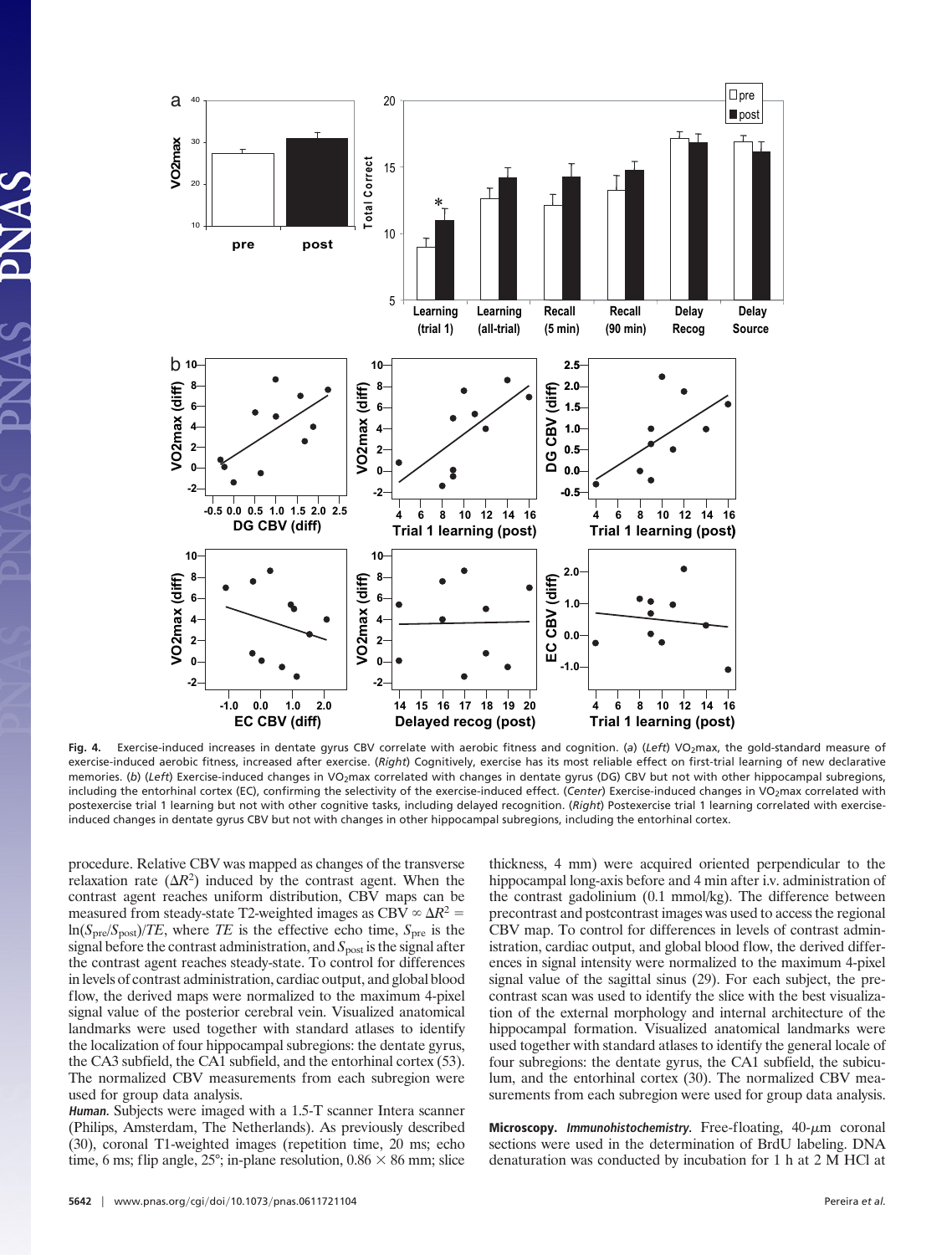

Fig. 4. Exercise-induced increases in dentate gyrus CBV correlate with aerobic fitness and cognition. (a) (Left) VO<sub>2</sub>max, the gold-standard measure of exercise-induced aerobic fitness, increased after exercise. (*Right*) Cognitively, exercise has its most reliable effect on first-trial learning of new declarative memories. (b) (Left) Exercise-induced changes in VO<sub>2</sub>max correlated with changes in dentate gyrus (DG) CBV but not with other hippocampal subregions, including the entorhinal cortex (EC), confirming the selectivity of the exercise-induced effect. (Center) Exercise-induced changes in VO<sub>2</sub>max correlated with postexercise trial 1 learning but not with other cognitive tasks, including delayed recognition. (*Right*) Postexercise trial 1 learning correlated with exerciseinduced changes in dentate gyrus CBV but not with changes in other hippocampal subregions, including the entorhinal cortex.

procedure. Relative CBV was mapped as changes of the transverse relaxation rate  $(\Delta R^2)$  induced by the contrast agent. When the contrast agent reaches uniform distribution, CBV maps can be measured from steady-state T2-weighted images as CBV  $\infty \Delta R^2$  =  $\ln(S_{\text{pre}}/S_{\text{post}})/TE$ , where *TE* is the effective echo time,  $S_{\text{pre}}$  is the signal before the contrast administration, and *S*<sub>post</sub> is the signal after the contrast agent reaches steady-state. To control for differences in levels of contrast administration, cardiac output, and global blood flow, the derived maps were normalized to the maximum 4-pixel signal value of the posterior cerebral vein. Visualized anatomical landmarks were used together with standard atlases to identify the localization of four hippocampal subregions: the dentate gyrus, the CA3 subfield, the CA1 subfield, and the entorhinal cortex (53). The normalized CBV measurements from each subregion were used for group data analysis.

**Human.** Subjects were imaged with a 1.5-T scanner Intera scanner (Philips, Amsterdam, The Netherlands). As previously described (30), coronal T1-weighted images (repetition time, 20 ms; echo time, 6 ms; flip angle,  $25^\circ$ ; in-plane resolution,  $0.86 \times 86$  mm; slice thickness, 4 mm) were acquired oriented perpendicular to the hippocampal long-axis before and 4 min after i.v. administration of the contrast gadolinium (0.1 mmol/kg). The difference between precontrast and postcontrast images was used to access the regional CBV map. To control for differences in levels of contrast administration, cardiac output, and global blood flow, the derived differences in signal intensity were normalized to the maximum 4-pixel signal value of the sagittal sinus (29). For each subject, the precontrast scan was used to identify the slice with the best visualization of the external morphology and internal architecture of the hippocampal formation. Visualized anatomical landmarks were used together with standard atlases to identify the general locale of four subregions: the dentate gyrus, the CA1 subfield, the subiculum, and the entorhinal cortex (30). The normalized CBV measurements from each subregion were used for group data analysis.

**Microscopy.** *Immunohistochemistry*. Free-floating,  $40-\mu m$  coronal sections were used in the determination of BrdU labeling. DNA denaturation was conducted by incubation for 1 h at 2 M HCl at